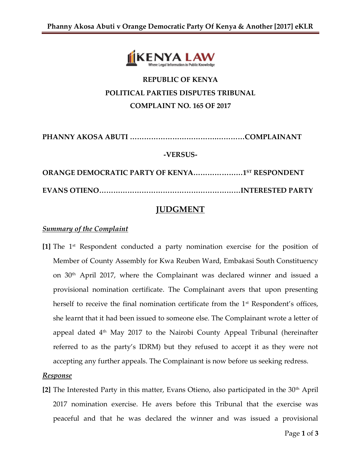

# **REPUBLIC OF KENYA POLITICAL PARTIES DISPUTES TRIBUNAL COMPLAINT NO. 165 OF 2017**

**PHANNY AKOSA ABUTI ……………………………….…………COMPLAINANT**

#### **-VERSUS-**

**ORANGE DEMOCRATIC PARTY OF KENYA…………………1 ST RESPONDENT EVANS OTIENO……………………………………………………INTERESTED PARTY**

## **JUDGMENT**

#### *Summary of the Complaint*

**[1]** The 1st Respondent conducted a party nomination exercise for the position of Member of County Assembly for Kwa Reuben Ward, Embakasi South Constituency on 30th April 2017, where the Complainant was declared winner and issued a provisional nomination certificate. The Complainant avers that upon presenting herself to receive the final nomination certificate from the  $1<sup>st</sup>$  Respondent's offices, she learnt that it had been issued to someone else. The Complainant wrote a letter of appeal dated  $4<sup>th</sup>$  May 2017 to the Nairobi County Appeal Tribunal (hereinafter referred to as the party's IDRM) but they refused to accept it as they were not accepting any further appeals. The Complainant is now before us seeking redress.

#### *Response*

[2] The Interested Party in this matter, Evans Otieno, also participated in the 30<sup>th</sup> April 2017 nomination exercise. He avers before this Tribunal that the exercise was peaceful and that he was declared the winner and was issued a provisional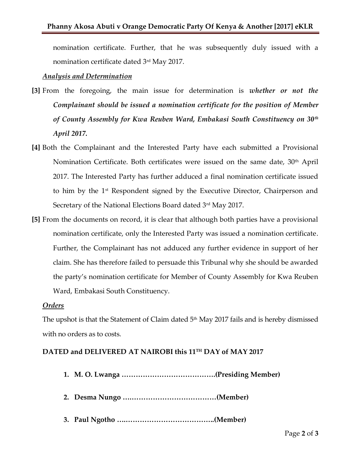nomination certificate. Further, that he was subsequently duly issued with a nomination certificate dated 3<sup>rd</sup> May 2017.

#### *Analysis and Determination*

- **[3]** From the foregoing, the main issue for determination is *whether or not the Complainant should be issued a nomination certificate for the position of Member of County Assembly for Kwa Reuben Ward, Embakasi South Constituency on 30th April 2017.*
- **[4]** Both the Complainant and the Interested Party have each submitted a Provisional Nomination Certificate. Both certificates were issued on the same date, 30<sup>th</sup> April 2017. The Interested Party has further adduced a final nomination certificate issued to him by the 1<sup>st</sup> Respondent signed by the Executive Director, Chairperson and Secretary of the National Elections Board dated 3<sup>rd</sup> May 2017.
- **[5]** From the documents on record, it is clear that although both parties have a provisional nomination certificate, only the Interested Party was issued a nomination certificate. Further, the Complainant has not adduced any further evidence in support of her claim. She has therefore failed to persuade this Tribunal why she should be awarded the party's nomination certificate for Member of County Assembly for Kwa Reuben Ward, Embakasi South Constituency.

#### *Orders*

The upshot is that the Statement of Claim dated  $5<sup>th</sup>$  May 2017 fails and is hereby dismissed with no orders as to costs.

### **DATED and DELIVERED AT NAIROBI this 11TH DAY of MAY 2017**

- **1. M. O. Lwanga ………………………………….(Presiding Member)**
- **2. Desma Nungo ….………………………………(Member)**
- **3. Paul Ngotho ….………………………………..(Member)**